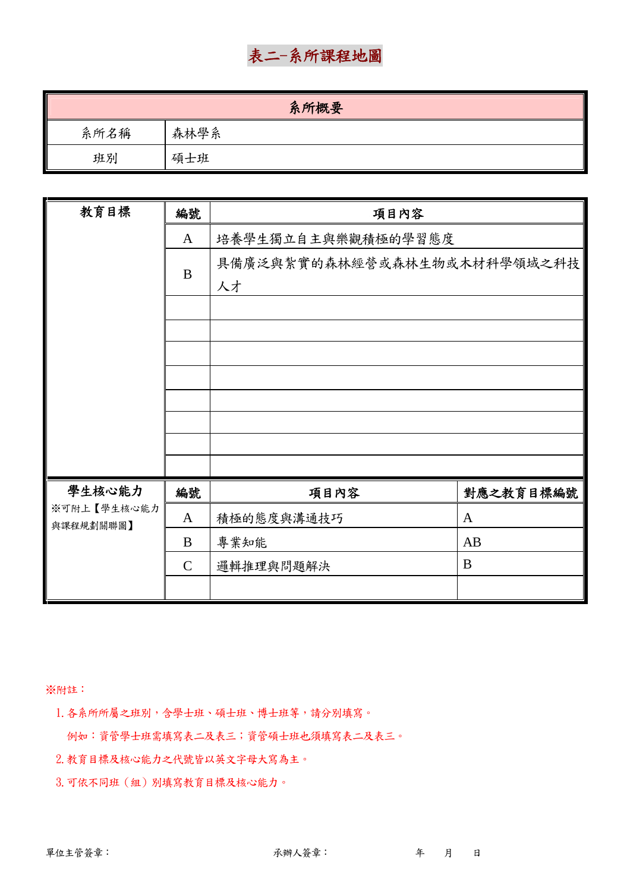# 表二-系所課程地圖

|      | 系所概要 |
|------|------|
| 系所名稱 | 森林學系 |
| 班別   | 碩士班  |

| 教育目標        | 編號          | 項目內容                              |              |
|-------------|-------------|-----------------------------------|--------------|
|             | A           | 培養學生獨立自主與樂觀積極的學習態度                |              |
|             | B           | 具備廣泛與紮實的森林經營或森林生物或木材科學領域之科技<br>人才 |              |
|             |             |                                   |              |
|             |             |                                   |              |
|             |             |                                   |              |
|             |             |                                   |              |
|             |             |                                   |              |
|             |             |                                   |              |
|             |             |                                   |              |
| 學生核心能力      | 編號          | 項目內容                              | 對應之教育目標編號    |
| ※可附上【學生核心能力 | A           | 積極的態度與溝通技巧                        | $\mathbf{A}$ |
| 與課程規劃關聯圖】   | B           | 專業知能                              | AB           |
|             | $\mathbf C$ | 邏輯推理與問題解決                         | B            |
|             |             |                                   |              |

※附註:

1.各系所所屬之班別,含學士班、碩士班、博士班等,請分別填寫。

例如:資管學士班需填寫表二及表三;資管碩士班也須填寫表二及表三。

2.教育目標及核心能力之代號皆以英文字母大寫為主。

3. 可依不同班(組)別填寫教育目標及核心能力。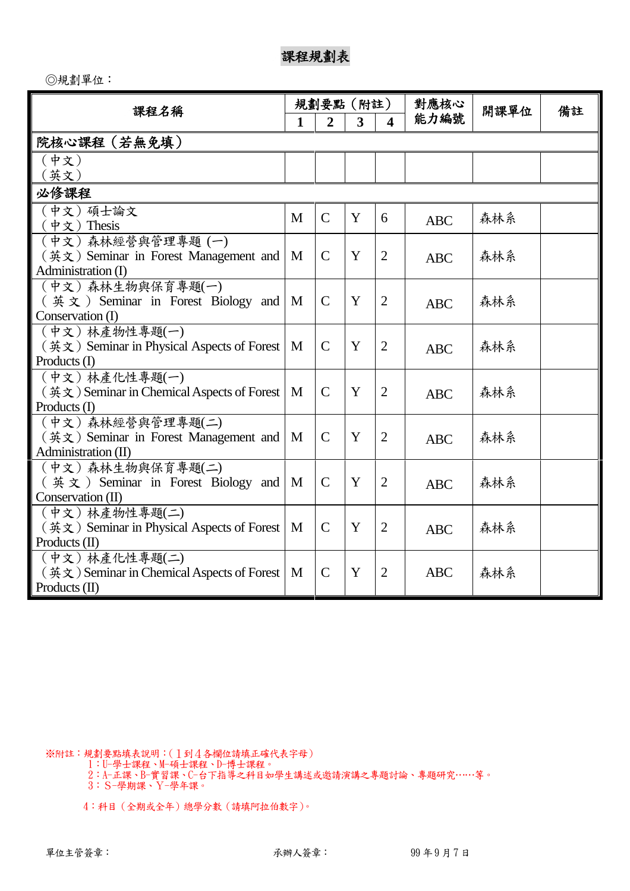◎規劃單位:

| 課程名稱                                                                                                         |   | 規劃要點(附註)       |   |                         | 對應核心       | 開課單位 | 備註 |
|--------------------------------------------------------------------------------------------------------------|---|----------------|---|-------------------------|------------|------|----|
|                                                                                                              | 1 | $\overline{2}$ | 3 | $\overline{\mathbf{4}}$ | 能力編號       |      |    |
| 院核心課程(若無免填)                                                                                                  |   |                |   |                         |            |      |    |
| (中文)<br>英文)                                                                                                  |   |                |   |                         |            |      |    |
| 必修課程                                                                                                         |   |                |   |                         |            |      |    |
| (中文) 碩士論文<br>(中文)Thesis                                                                                      | M | $\mathcal{C}$  | Y | 6                       | <b>ABC</b> | 森林系  |    |
| (中文)森林經營與管理專題(一)<br>(英文) Seminar in Forest Management and<br>Administration (I)                              | M | $\mathcal{C}$  | Y | $\overline{2}$          | <b>ABC</b> | 森林系  |    |
| (中文)森林生物與保育專題(一)<br>$(\n  4 ★ × 5 5 5 6 1 6 1 6 1 6 1 6 1 1 1 1 1 1 1 1 1 1 1 1 1 1 1 1$<br>Conservation (I) | M | $\mathcal{C}$  | Y | $\overline{2}$          | <b>ABC</b> | 森林系  |    |
| (中文)林產物性專題(一)<br>(英文) Seminar in Physical Aspects of Forest<br>Products (I)                                  | M | $\mathcal{C}$  | Y | $\overline{2}$          | <b>ABC</b> | 森林系  |    |
| (中文)林產化性專題(一)<br>$(\nexists \xi)$ Seminar in Chemical Aspects of Forest<br>Products (I)                      | M | $\mathcal{C}$  | Y | $\overline{2}$          | <b>ABC</b> | 森林系  |    |
| (中文)森林經營與管理專題(二)<br>(英文) Seminar in Forest Management and<br>Administration (II)                             | M | $\mathcal{C}$  | Y | $\overline{2}$          | <b>ABC</b> | 森林系  |    |
| (中文)森林生物與保育專題(二)<br>$(\nexists \times \mathbf{x})$ Seminar in Forest Biology and<br>Conservation (II)        | M | $\mathcal{C}$  | Y | $\overline{2}$          | <b>ABC</b> | 森林系  |    |
| (中文)林產物性專題(二)<br>(英文) Seminar in Physical Aspects of Forest<br>Products (II)                                 | M | $\mathcal{C}$  | Y | $\overline{2}$          | <b>ABC</b> | 森林系  |    |
| (中文)林產化性專題(二)<br>$(\nexists \in \mathcal{X})$ Seminar in Chemical Aspects of Forest<br>Products $(II)$       | M | $\mathcal{C}$  | Y | $\overline{2}$          | <b>ABC</b> | 森林系  |    |

※附註:規劃要點填表說明:(1到4各欄位請填正確代表字母)

1:U-學士課程、M-碩士課程、D-博士課程。

2:A-正課、B-實習課、C-台下指導之科目如學生講述或邀請演講之專題討論、專題研究……等。 3:S-學期課、Y-學年課。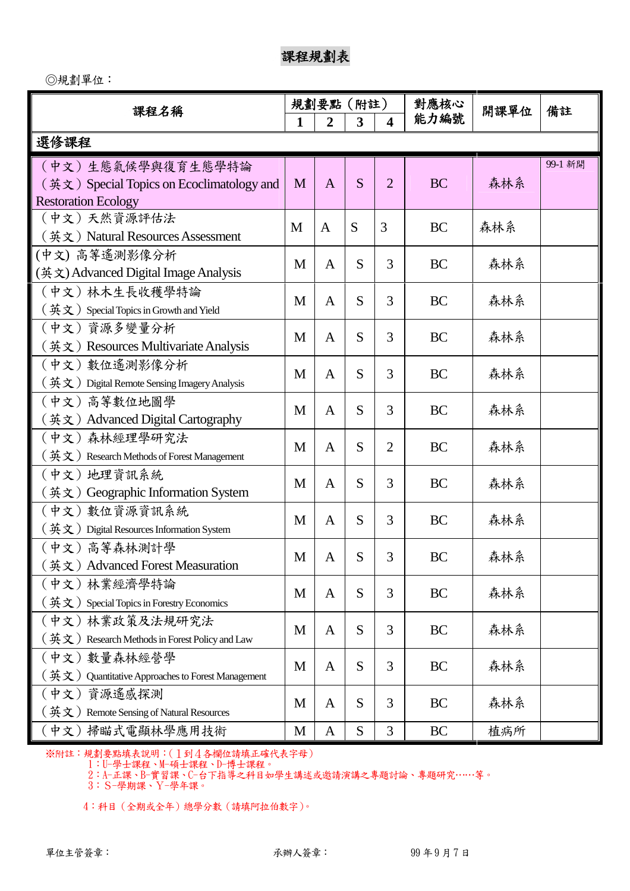◎規劃單位:

| 課程名稱                                                                    | 規劃要點 |                | (附註) |                         | 對應核心      | 開課單位 | 備註      |
|-------------------------------------------------------------------------|------|----------------|------|-------------------------|-----------|------|---------|
|                                                                         | 1    | 2              | 3    | $\overline{\mathbf{4}}$ | 能力編號      |      |         |
| 選修課程                                                                    |      |                |      |                         |           |      |         |
| (中文)生態氣候學與復育生態學特論                                                       |      |                |      |                         |           |      | 99-1 新開 |
| (英文) Special Topics on Ecoclimatology and                               | M    | $\overline{A}$ | S    | $\overline{2}$          | <b>BC</b> | 森林系  |         |
| <b>Restoration Ecology</b>                                              |      |                |      |                         |           |      |         |
| (中文)天然資源評估法                                                             | M    | A              | S    | 3                       | <b>BC</b> | 森林系  |         |
| (英文) Natural Resources Assessment                                       |      |                |      |                         |           |      |         |
| (中文) 高等遙測影像分析                                                           | M    | A              | S    | 3                       | BC        | 森林系  |         |
| (英文) Advanced Digital Image Analysis                                    |      |                |      |                         |           |      |         |
| (中文)林木生長收穫學特論                                                           | M    | $\mathbf{A}$   | S    | 3                       | <b>BC</b> | 森林系  |         |
| $(\nexists \times)$ Special Topics in Growth and Yield                  |      |                |      |                         |           |      |         |
| (中文) 資源多變量分析                                                            | M    | $\mathbf{A}$   | S    | 3                       | <b>BC</b> | 森林系  |         |
| (英文) Resources Multivariate Analysis                                    |      |                |      |                         |           |      |         |
| (中文) 數位遙測影像分析                                                           | M    | $\mathbf{A}$   | S    | 3                       | <b>BC</b> | 森林系  |         |
| $($ 英文) Digital Remote Sensing Imagery Analysis                         |      |                |      |                         |           |      |         |
| (中文)高等數位地圖學                                                             | M    | $\mathbf{A}$   | S    | 3                       | <b>BC</b> | 森林系  |         |
| (英文) Advanced Digital Cartography                                       |      |                |      |                         |           |      |         |
| (中文)森林經理學研究法                                                            | M    | $\mathbf{A}$   | S    | $\overline{2}$          | <b>BC</b> | 森林系  |         |
| $(\frac{4}{x} x)$ Research Methods of Forest Management                 |      |                |      |                         |           |      |         |
| (中文) 地理資訊系統                                                             | M    | $\mathbf{A}$   | S    | 3                       | <b>BC</b> | 森林系  |         |
| (英文) Geographic Information System                                      |      |                |      |                         |           |      |         |
| (中文) 數位資源資訊系統                                                           | M    | A              | S    | 3                       | <b>BC</b> | 森林系  |         |
| $(\frac{4}{x}x)$ Digital Resources Information System                   |      |                |      |                         |           |      |         |
| (中文) 高等森林測計學                                                            | M    | A              | S    | 3                       | <b>BC</b> | 森林系  |         |
| (英文) Advanced Forest Measuration                                        |      |                |      |                         |           |      |         |
| (中文)林業經濟學特論                                                             | M    | A              | S    | 3                       | <b>BC</b> | 森林系  |         |
| $(\frac{3\pi}{\mathcal{K}}\times)$ Special Topics in Forestry Economics |      |                |      |                         |           |      |         |
| (中文)林業政策及法規研究法                                                          | M    | A              | S    | 3                       | BC        | 森林系  |         |
| $(\frac{4}{11})$ Research Methods in Forest Policy and Law              |      |                |      |                         |           |      |         |
| (中文)數量森林經營學                                                             | M    | A              | S    | 3                       | <b>BC</b> | 森林系  |         |
| $(\frac{3x}{12})$ Quantitative Approaches to Forest Management          |      |                |      |                         |           |      |         |
| 資源遙感探測<br>(中文)                                                          | M    | A              | S    | 3                       | BC        | 森林系  |         |
| $\mathcal{H}(\mathbf{x})$ Remote Sensing of Natural Resources           |      |                |      |                         |           |      |         |
| (中文) 掃瞄式電顯林學應用技術                                                        | M    | $\mathbf{A}$   | S    | 3                       | <b>BC</b> | 植病所  |         |

※附註:規劃要點填表說明:(1到4各欄位請填正確代表字母)

1:U-學士課程、M-碩士課程、D-博士課程。

2:A-正課、B-實習課、C-台下指導之科目如學生講述或邀請演講之專題討論、專題研究……等。

3:S-學期課、Y-學年課。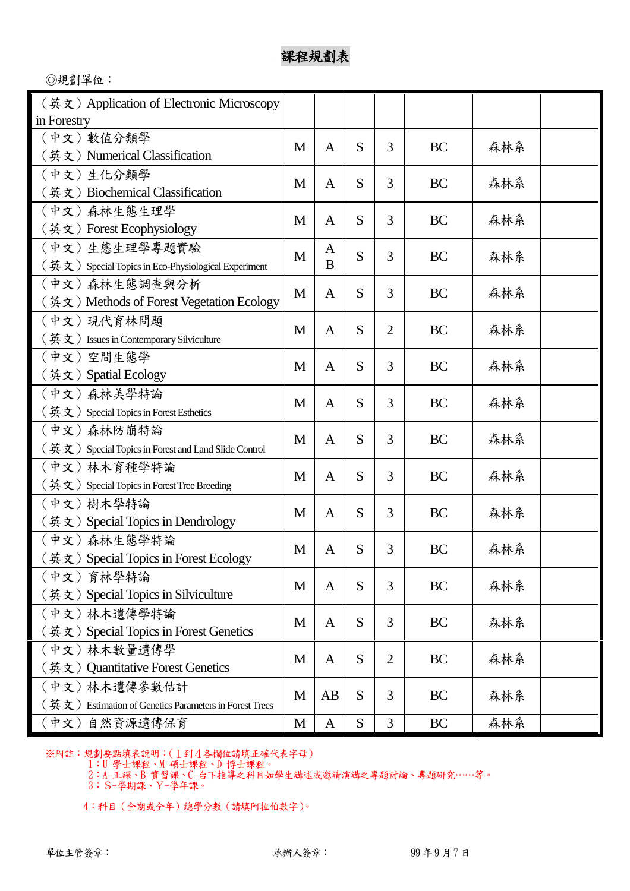◎規劃單位:

| (英文) Application of Electronic Microscopy                                      |   |              |   |   |           |     |  |
|--------------------------------------------------------------------------------|---|--------------|---|---|-----------|-----|--|
| in Forestry                                                                    |   |              |   |   |           |     |  |
| (中文) 數值分類學                                                                     | M | $\mathbf{A}$ | S | 3 | <b>BC</b> | 森林系 |  |
| (英文) Numerical Classification                                                  |   |              |   |   |           |     |  |
| (中文)生化分類學                                                                      | M | $\mathbf{A}$ | S | 3 | BC        | 森林系 |  |
| (英文) Biochemical Classification                                                |   |              |   |   |           |     |  |
| (中文)森林生態生理學                                                                    | M | A            | S | 3 | BC        | 森林系 |  |
| (英文) Forest Ecophysiology                                                      |   |              |   |   |           |     |  |
| (中文)生態生理學專題實驗                                                                  | M | A            | S | 3 | BC        | 森林系 |  |
| $(\frac{4}{11})$ Special Topics in Eco-Physiological Experiment                |   | B            |   |   |           |     |  |
| (中文)森林生態調查與分析                                                                  | M | $\mathbf{A}$ | S | 3 | BC        | 森林系 |  |
| (英文) Methods of Forest Vegetation Ecology                                      |   |              |   |   |           |     |  |
| (中文)現代育林問題                                                                     | M | A            | S | 2 | <b>BC</b> | 森林系 |  |
| $(\frac{\text{K}}{\text{K}} \times)$ Issues in Contemporary Silviculture       |   |              |   |   |           |     |  |
| (中文)空間生態學                                                                      | M | A            | S | 3 | <b>BC</b> | 森林系 |  |
| (英文) Spatial Ecology                                                           |   |              |   |   |           |     |  |
| (中文) 森林美學特論                                                                    | M | $\mathbf{A}$ | S | 3 | BC        | 森林系 |  |
| $($ 英文) Special Topics in Forest Esthetics                                     |   |              |   |   |           |     |  |
| (中文)森林防崩特論                                                                     | M | $\mathbf{A}$ | S | 3 | BC        | 森林系 |  |
| $($ 英文) Special Topics in Forest and Land Slide Control                        |   |              |   |   |           |     |  |
| (中文)林木育種學特論                                                                    | M | $\mathbf{A}$ | S | 3 | BC        | 森林系 |  |
| $(\frac{4}{x}x)$ Special Topics in Forest Tree Breeding                        |   |              |   |   |           |     |  |
| (中文)樹木學特論                                                                      | M | $\mathbf{A}$ | S | 3 | BC        | 森林系 |  |
| (英文) Special Topics in Dendrology                                              |   |              |   |   |           |     |  |
| (中文)森林生態學特論                                                                    | M | A            | S | 3 | BC        | 森林系 |  |
| ( 英文 ) Special Topics in Forest Ecology                                        |   |              |   |   |           |     |  |
| (中文) 育林學特論                                                                     | M | A            | S | 3 | <b>BC</b> | 森林系 |  |
| (英文) Special Topics in Silviculture                                            |   |              |   |   |           |     |  |
| (中文)林木遺傳學特論                                                                    | M | $\mathbf{A}$ | S | 3 | BC        | 森林系 |  |
| (英文) Special Topics in Forest Genetics                                         |   |              |   |   |           |     |  |
| (中文)林木數量遺傳學                                                                    | M | $\mathbf{A}$ | S | 2 | <b>BC</b> | 森林系 |  |
| (英文) Quantitative Forest Genetics                                              |   |              |   |   |           |     |  |
| (中文) 林木遺傳參數估計                                                                  | M | AB           | S | 3 | BC        | 森林系 |  |
| $(\frac{1}{N}, \frac{1}{N})$ Estimation of Genetics Parameters in Forest Trees |   |              |   |   |           |     |  |
| (中文)自然資源遺傳保育                                                                   | M | A            | S | 3 | BC        | 森林系 |  |

※附註:規劃要點填表說明:(1到4各欄位請填正確代表字母)

1:U-學士課程、M-碩士課程、D-博士課程。

2:A-正課、B-實習課、C-台下指導之科目如學生講述或邀請演講之專題討論、專題研究……等。

3:S-學期課、Y-學年課。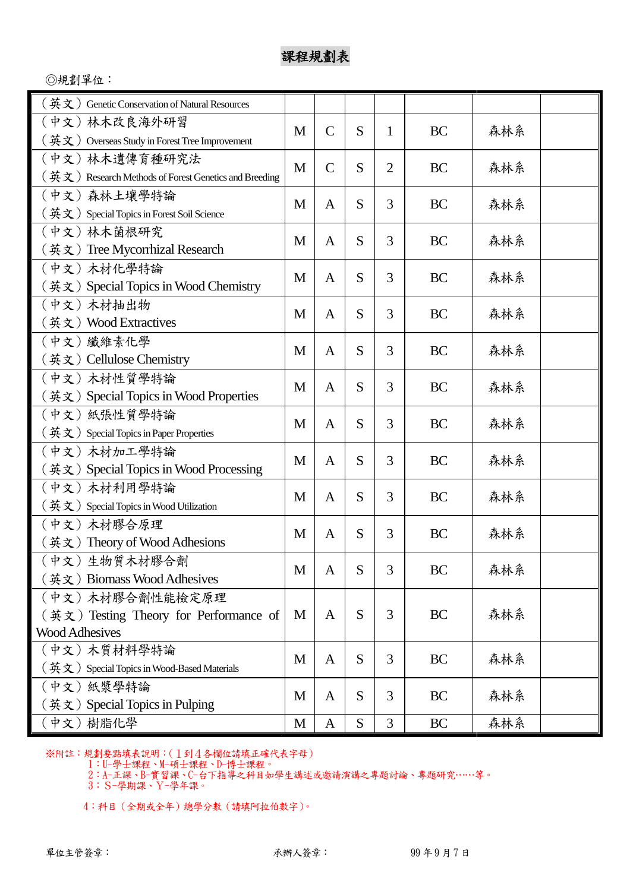◎規劃單位:

| $\ddot{\Phi} \dot{\Sigma}$ ) Genetic Conservation of Natural Resources |   |               |   |                |           |     |  |
|------------------------------------------------------------------------|---|---------------|---|----------------|-----------|-----|--|
| (中文)林木改良海外研習                                                           |   |               |   |                |           |     |  |
| $($ 英文) Overseas Study in Forest Tree Improvement                      | M | $\mathcal{C}$ | S | 1              | <b>BC</b> | 森林系 |  |
| (中文)林木遺傳育種研究法                                                          | M | $\mathcal{C}$ | S | $\overline{2}$ | <b>BC</b> | 森林系 |  |
| (英文) Research Methods of Forest Genetics and Breeding                  |   |               |   |                |           |     |  |
| (中文)森林土壤學特論                                                            | M | A             | S | 3              | BC        | 森林系 |  |
| $(\frac{4}{x}x)$ Special Topics in Forest Soil Science                 |   |               |   |                |           |     |  |
| (中文)林木菌根研究                                                             | M | A             | S | 3              | BC        | 森林系 |  |
| (英文) Tree Mycorrhizal Research                                         |   |               |   |                |           |     |  |
| (中文)木材化學特論                                                             | M | A             | S | 3              | <b>BC</b> | 森林系 |  |
| (英文) Special Topics in Wood Chemistry                                  |   |               |   |                |           |     |  |
| (中文)木材抽出物                                                              | M | A             | S | 3              | BC        | 森林系 |  |
| (英文)Wood Extractives                                                   |   |               |   |                |           |     |  |
| (中文)纖維素化學                                                              | M | A             | S | 3              | BC        | 森林系 |  |
| (英文) Cellulose Chemistry                                               |   |               |   |                |           |     |  |
| (中文)木材性質學特論                                                            | M | A             | S | 3              | BC        | 森林系 |  |
| (英文) Special Topics in Wood Properties                                 |   |               |   |                |           |     |  |
| (中文)紙張性質學特論                                                            | M | A             | S | 3              | BC        | 森林系 |  |
| $(\nexists \times)$ Special Topics in Paper Properties                 |   |               |   |                |           |     |  |
| (中文)木材加工學特論                                                            | M | A             | S | 3              | <b>BC</b> | 森林系 |  |
| (英文) Special Topics in Wood Processing                                 |   |               |   |                |           |     |  |
| (中文) 木材利用學特論                                                           | M | A             | S | 3              | <b>BC</b> | 森林系 |  |
| $(\nexists \times)$ Special Topics in Wood Utilization                 |   |               |   |                |           |     |  |
| (中文)木材膠合原理                                                             | M | A             | S | 3              | BC        | 森林系 |  |
| (英文) Theory of Wood Adhesions                                          |   |               |   |                |           |     |  |
| (中文)生物質木材膠合劑                                                           | M | A             | S | 3              | BC        | 森林系 |  |
| (英文) Biomass Wood Adhesives                                            |   |               |   |                |           |     |  |
| (中文) 木材膠合劑性能檢定原理                                                       |   |               |   |                |           |     |  |
| $(\frac{4}{3}x)$ Testing Theory for Performance of                     | M | A             | S | 3              | BC        | 森林系 |  |
| <b>Wood Adhesives</b><br>(中文) 木質材料學特論                                  |   |               |   |                |           |     |  |
| $(\frac{4}{x} x)$ Special Topics in Wood-Based Materials               | M | A             | S | 3              | BC        | 森林系 |  |
| (中文)紙漿學特論                                                              |   |               |   |                |           |     |  |
| ( 英文 ) Special Topics in Pulping                                       | M | A             | S | 3              | <b>BC</b> | 森林系 |  |
| (中文) 樹脂化學                                                              | M | A             | S | 3              | BC        | 森林系 |  |

※附註:規劃要點填表說明:(1到4各欄位請填正確代表字母)

1:U-學士課程、M-碩士課程、D-博士課程。

2:A-正課、B-實習課、C-台下指導之科目如學生講述或邀請演講之專題討論、專題研究……等。

3:S-學期課、Y-學年課。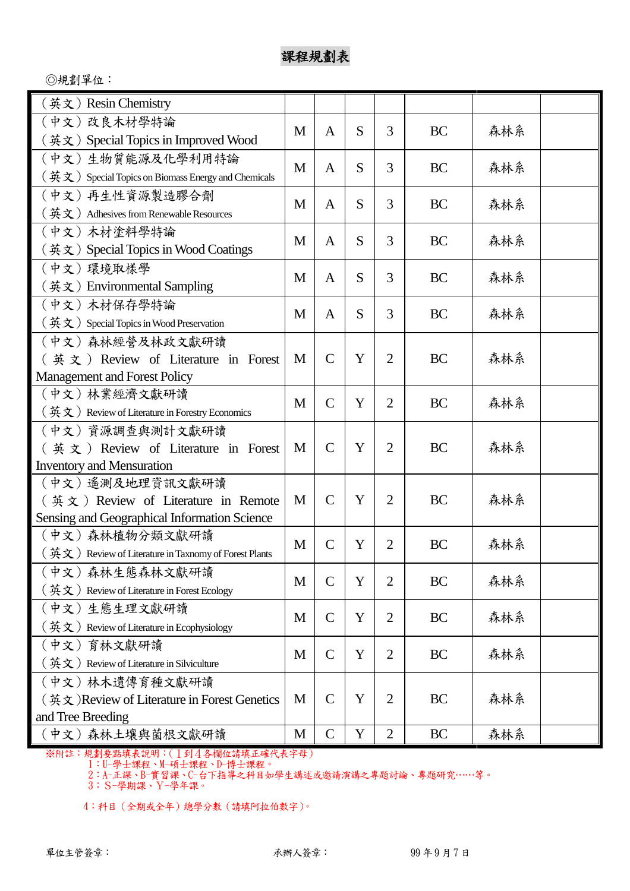◎規劃單位:

| (英文)Resin Chemistry                                                                |   |                |   |                |           |     |  |
|------------------------------------------------------------------------------------|---|----------------|---|----------------|-----------|-----|--|
| (中文) 改良木材學特論                                                                       |   |                |   |                |           |     |  |
| (英文) Special Topics in Improved Wood                                               | M | A              | S | 3              | BC        | 森林系 |  |
| (中文)生物質能源及化學利用特論                                                                   | M |                | S | 3              | <b>BC</b> | 森林系 |  |
| $($ 英文) Special Topics on Biomass Energy and Chemicals                             |   | A              |   |                |           |     |  |
| (中文)再生性資源製造膠合劑                                                                     | M | A              | S | 3              | BC        | 森林系 |  |
| $(\frac{4}{11})$ Adhesives from Renewable Resources                                |   |                |   |                |           |     |  |
| (中文)木材塗料學特論                                                                        | M | A              | S | 3              | BC        | 森林系 |  |
| (英文) Special Topics in Wood Coatings                                               |   |                |   |                |           |     |  |
| (中文) 環境取樣學                                                                         | M | A              | S | 3              | <b>BC</b> | 森林系 |  |
| (英文) Environmental Sampling                                                        |   |                |   |                |           |     |  |
| (中文) 木材保存學特論                                                                       | M | A              | S | 3              | BC        | 森林系 |  |
| $(\frac{4}{x}x)$ Special Topics in Wood Preservation                               |   |                |   |                |           |     |  |
| (中文) 森林經營及林政文獻研讀                                                                   |   |                |   |                |           |     |  |
| $(\frac{\pi}{2}, \frac{\pi}{2})$ Review of Literature in Forest                    | M | $\mathcal{C}$  | Y | $\overline{2}$ | <b>BC</b> | 森林系 |  |
| Management and Forest Policy                                                       |   |                |   |                |           |     |  |
| (中文)林業經濟文獻研讀                                                                       | M | $\mathcal{C}$  | Y | $\overline{2}$ | <b>BC</b> | 森林系 |  |
| $(\frac{4}{x}x)$ Review of Literature in Forestry Economics                        |   |                |   |                |           |     |  |
| (中文) 資源調查與測計文獻研讀                                                                   |   |                |   |                |           |     |  |
| (英文) Review of Literature in Forest                                                | M | $\mathcal{C}$  | Y | $\overline{2}$ | <b>BC</b> | 森林系 |  |
| <b>Inventory and Mensuration</b>                                                   |   |                |   |                |           |     |  |
| (中文) 遙測及地理資訊文獻研讀                                                                   |   |                |   |                |           |     |  |
| $(\frac{1}{2}, \frac{1}{2})$ Review of Literature in Remote                        | M | $\mathcal{C}$  | Y | $\overline{2}$ | <b>BC</b> | 森林系 |  |
| Sensing and Geographical Information Science                                       |   |                |   |                |           |     |  |
| (中文)森林植物分類文獻研讀                                                                     | M | $\overline{C}$ | Y | $\overline{2}$ | BC        | 森林系 |  |
| $(\frac{K}{N})$ Review of Literature in Taxnomy of Forest Plants<br>(中文)森林生態森林文獻研讀 |   |                |   |                |           |     |  |
| $(\frac{4}{11}, \frac{1}{11})$ Review of Literature in Forest Ecology              | M | $\mathcal{C}$  | Y | $\overline{2}$ | <b>BC</b> | 森林系 |  |
| (中文)生態生理文獻研讀                                                                       |   |                |   |                |           |     |  |
| $(\frac{\text{K}}{\mathcal{X}})$ Review of Literature in Ecophysiology             | M | $\mathcal{C}$  | Y | $\overline{2}$ | BC        | 森林系 |  |
| (中文) 育林文獻研讀                                                                        |   |                |   |                |           |     |  |
| $(\frac{4}{11})$ Review of Literature in Silviculture                              | M | $\mathcal{C}$  | Y | $\overline{2}$ | BC        | 森林系 |  |
| (中文)林木遺傳育種文獻研讀                                                                     |   |                |   |                |           |     |  |
| (英文) Review of Literature in Forest Genetics                                       | M | $\mathcal{C}$  | Y | $\overline{2}$ | BC        | 森林系 |  |
| and Tree Breeding                                                                  |   |                |   |                |           |     |  |
| (中文)森林土壤與菌根文獻研讀                                                                    | M | $\mathcal{C}$  | Y | $\overline{2}$ | BC        | 森林系 |  |

※附註:規劃要點填表說明:(1到4各欄位請填正確代表字母)

1:U-學士課程、M-碩士課程、D-博士課程。

2:A-正課、B-實習課、C-台下指導之科目如學生講述或邀請演講之專題討論、專題研究……等。

3:S-學期課、Y-學年課。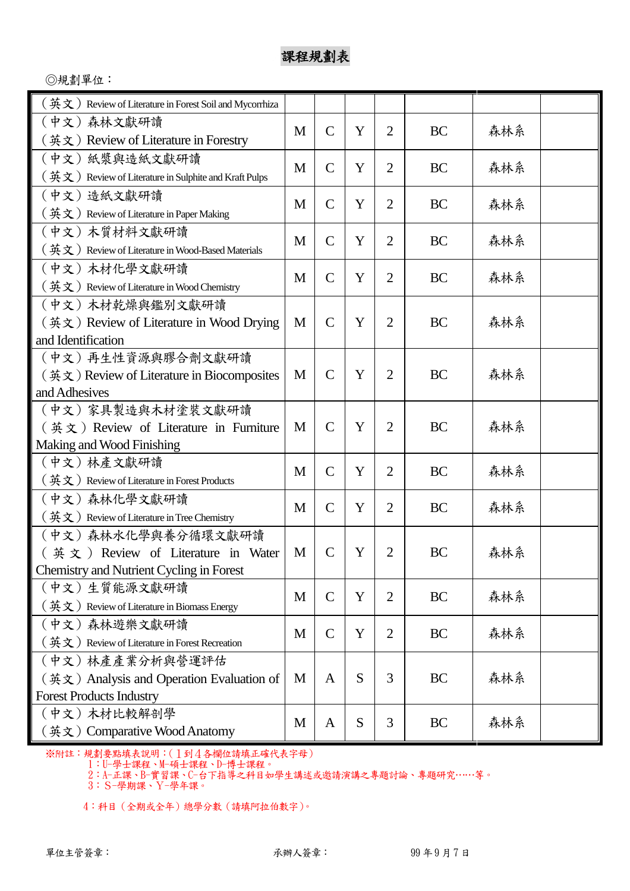◎規劃單位:

| $\left(\frac{1}{11}\times1\right)$ Review of Literature in Forest Soil and Mycorrhiza  |   |                |   |                |           |     |  |
|----------------------------------------------------------------------------------------|---|----------------|---|----------------|-----------|-----|--|
| (中文)森林文獻研讀                                                                             |   |                |   |                |           |     |  |
| (英文) Review of Literature in Forestry                                                  | M | $\mathcal{C}$  | Y | $\overline{2}$ | BC        | 森林系 |  |
| (中文) 紙漿與造紙文獻研讀                                                                         |   |                |   |                |           |     |  |
| $($ 英文) Review of Literature in Sulphite and Kraft Pulps                               | M | $\mathsf{C}$   | Y | $\overline{2}$ | BC        | 森林系 |  |
| (中文)造紙文獻研讀                                                                             |   |                |   |                |           |     |  |
| $($ 英文) Review of Literature in Paper Making                                           | M | $\mathcal{C}$  | Y | $\overline{2}$ | BC        | 森林系 |  |
| (中文)木質材料文獻研讀                                                                           | M | $\overline{C}$ | Y | $\overline{2}$ | BC        | 森林系 |  |
| $(\, \maltes{\#}\,\dot{\mathbf{x}} \,)\,$ Review of Literature in Wood-Based Materials |   |                |   |                |           |     |  |
| (中文)木材化學文獻研讀                                                                           | M | $\mathsf{C}$   | Y | $\overline{2}$ | <b>BC</b> | 森林系 |  |
| $(\frac{4}{11})$ Review of Literature in Wood Chemistry                                |   |                |   |                |           |     |  |
| (中文) 木材乾燥與鑑別文獻研讀                                                                       |   |                |   |                |           |     |  |
| (英文) Review of Literature in Wood Drying                                               | M | $\mathcal{C}$  | Y | 2              | BC        | 森林系 |  |
| and Identification                                                                     |   |                |   |                |           |     |  |
| (中文)再生性資源與膠合劑文獻研讀                                                                      |   |                |   |                |           |     |  |
| (英文) Review of Literature in Biocomposites                                             | M | $\mathcal{C}$  | Y | $\overline{2}$ | BC        | 森林系 |  |
| and Adhesives                                                                          |   |                |   |                |           |     |  |
| (中文)家具製造與木材塗裝文獻研讀                                                                      |   |                |   |                |           |     |  |
| $(\frac{4}{1}x)$ Review of Literature in Furniture                                     | M | $\mathcal{C}$  | Y | 2              | BC        | 森林系 |  |
| Making and Wood Finishing                                                              |   |                |   |                |           |     |  |
| (中文)林產文獻研讀                                                                             | M | $\overline{C}$ | Y | 2              | BC        | 森林系 |  |
| $(\frac{4}{11})$ Review of Literature in Forest Products                               |   |                |   |                |           |     |  |
| (中文)森林化學文獻研讀                                                                           | M | $\mathcal{C}$  | Y | $\overline{2}$ | BC        | 森林系 |  |
| $(\frac{4}{x}x)$ Review of Literature in Tree Chemistry                                |   |                |   |                |           |     |  |
| (中文)森林水化學與養分循環文獻研讀                                                                     |   |                |   |                |           |     |  |
| (英文) Review of Literature in Water                                                     | M | $\mathcal{C}$  | Y | 2              | BC        | 森林系 |  |
| <b>Chemistry and Nutrient Cycling in Forest</b><br>(中文)生質能源文獻研讀                        |   |                |   |                |           |     |  |
| $(\frac{K}{N}, \frac{K}{N})$ Review of Literature in Biomass Energy                    | M | $\mathsf{C}$   | Y | $\overline{2}$ | BC        | 森林系 |  |
| (中文)森林遊樂文獻研讀                                                                           |   |                |   |                |           |     |  |
| $(\frac{4}{11})$ Review of Literature in Forest Recreation                             | M | $\mathcal{C}$  | Y | $\overline{2}$ | BC        | 森林系 |  |
| (中文)林產產業分析與營運評估                                                                        |   |                |   |                |           |     |  |
| $(\nexists \in \mathcal{X})$ Analysis and Operation Evaluation of                      | M | A              | S | 3              | BC        | 森林系 |  |
| <b>Forest Products Industry</b>                                                        |   |                |   |                |           |     |  |
| (中文)木材比較解剖學                                                                            |   |                |   |                |           |     |  |
| (英文) Comparative Wood Anatomy                                                          | M | A              | S | 3              | <b>BC</b> | 森林系 |  |

※附註:規劃要點填表說明:(1到4各欄位請填正確代表字母)

1:U-學士課程、M-碩士課程、D-博士課程。

2:A-正課、B-實習課、C-台下指導之科目如學生講述或邀請演講之專題討論、專題研究……等。

3:S-學期課、Y-學年課。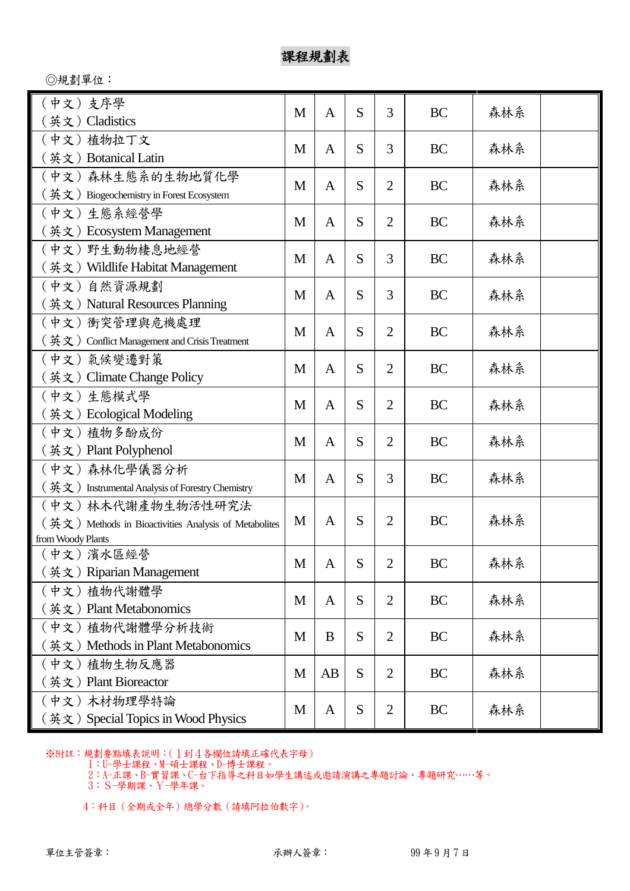◎規劃單位:

| (中文) 支序學<br>(英文) Cladistics                                                   | M | $\overline{A}$ | S | 3              | <b>BC</b> | 森林系 |  |
|-------------------------------------------------------------------------------|---|----------------|---|----------------|-----------|-----|--|
| (中文) 植物拉丁文                                                                    |   |                |   |                |           |     |  |
| (英文) Botanical Latin                                                          | M | A              | S | 3              | BC        | 森林系 |  |
| (中文) 森林生態系的生物地質化學                                                             |   |                |   |                |           |     |  |
| $($ 英文) Biogeochemistry in Forest Ecosystem                                   | M | A              | S | 2              | BC        | 森林系 |  |
| (中文)生態系經營學                                                                    |   |                |   |                |           |     |  |
| (英文) Ecosystem Management                                                     | M | $\mathbf{A}$   | S | $\overline{2}$ | BC        | 森林系 |  |
| (中文) 野生動物棲息地經營                                                                |   |                |   |                |           |     |  |
| (英文) Wildlife Habitat Management                                              | M | A              | S | 3              | BC        | 森林系 |  |
| (中文) 自然資源規劃                                                                   |   |                |   |                |           |     |  |
| (英文) Natural Resources Planning                                               | M | A              | S | 3              | <b>BC</b> | 森林系 |  |
| (中文)衝突管理與危機處理                                                                 |   |                |   |                |           |     |  |
| $(\frac{4}{11})$ Conflict Management and Crisis Treatment                     | M | A              | S | 2              | <b>BC</b> | 森林系 |  |
| (中文)氣候變遷對策                                                                    | M | A              | S | $\overline{2}$ | BC        | 森林系 |  |
| (英文) Climate Change Policy                                                    |   |                |   |                |           |     |  |
| (中文) 生態模式學                                                                    |   |                |   |                |           |     |  |
| (英文) Ecological Modeling                                                      | M | $\mathbf{A}$   | S | 2              | <b>BC</b> | 森林系 |  |
| (中文)植物多酚成份                                                                    | M | A              | S | $\overline{2}$ | <b>BC</b> | 森林系 |  |
| (英文) Plant Polyphenol                                                         |   |                |   |                |           |     |  |
| (中文) 森林化學儀器分析                                                                 | M | A              | S | 3              | <b>BC</b> | 森林系 |  |
| $($ 英文) Instrumental Analysis of Forestry Chemistry                           |   |                |   |                |           |     |  |
| (中文) 林木代謝產物生物活性研究法                                                            |   |                |   |                |           |     |  |
| $(\frac{K}{N}, \frac{K}{N})$ Methods in Bioactivities Analysis of Metabolites | M | $\mathbf{A}$   | S | $\overline{2}$ | <b>BC</b> | 森林系 |  |
| from Woody Plants                                                             |   |                |   |                |           |     |  |
| (中文)濱水區經營                                                                     | M | A              | S | 2              | <b>BC</b> | 森林系 |  |
| (英文) Riparian Management                                                      |   |                |   |                |           |     |  |
| (中文)植物代謝體學                                                                    | M | A              | S | $\overline{2}$ | <b>BC</b> | 森林系 |  |
| (英文) Plant Metabonomics                                                       |   |                |   |                |           |     |  |
| (中文)植物代謝體學分析技術                                                                | M | B              | S | 2              | BC        | 森林系 |  |
| (英文) Methods in Plant Metabonomics                                            |   |                |   |                |           |     |  |
| (中文) 植物生物反應器                                                                  | M | AB             | S | $\overline{2}$ | BC        | 森林系 |  |
| (英文) Plant Bioreactor                                                         |   |                |   |                |           |     |  |
| (中文) 木材物理學特論                                                                  | M | A              | S | 2              | BC        | 森林系 |  |
| (英文) Special Topics in Wood Physics                                           |   |                |   |                |           |     |  |

※附註:規劃要點填表說明:(1到4各欄位請填正確代表字母)

1:U-學士課程、M-碩士課程、D-博士課程。

2:A-正課、B-實習課、C-台下指導之科目如學生講述或邀請演講之專題討論、專題研究……等。

3:S-學期課、Y-學年課。